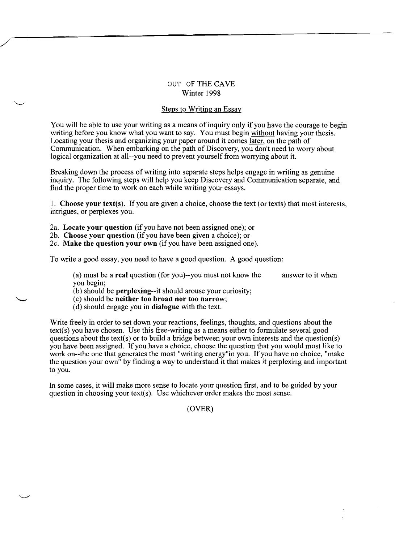## OUT OF THE CAYE Winter 1998

## Steps to Writing an Essay

You will be able to use your writing as a means of inquiry only if you have the courage to begin writing before you know what you want to say. You must begin without having your thesis. Locating your thesis and organizing your paper around it comes later, on the path of Communication. When embarking on the path of Discovery, you don't need to worry about logical organization at all--you need to prevent yourself from worrying about it.

Breaking down the process of writing into separate steps helps engage in writing as genuine inquiry. The following steps will help you keep Discovery and Communication separate, and find the proper time to work on each while writing your essays.

1. Choose your text(s). If you are given a choice, choose the text (or texts) that most interests, intrigues, or perplexes you.

2a. Locate your question (if you have not been assigned one); or

/

"-.---

2b. Choose your question (if you have been given a choice); or

2c. Make the question your own (if you have been assigned one).

To write a good essay, you need to have a good question. A good question:

(a) must be a real question (for you)--you must not know the answer to it when you begin;

(b) should be perplexing--it should arouse your curiosity;

- (c) should be neither too broad nor too narrow;
- (d) should engage you in dialogue with the text.

Write freely in order to set down your reactions, feelings, thoughts, and questions about the text(s) you have chosen. Use this free-writing as a means either to formulate several good questions about the text(s) or to build a bridge between your own interests and the question(s) you have been assigned. If you have a choice, choose the question that you would most like to work on--the one that generates the most "writing energy"in you. If you have no choice, "make the question your own" by finding a way to understand it that makes it perplexing and important to you.

In some cases, it will make more sense to locate your question first, and to be guided by your question in choosing your text(s). Use whichever order makes the most sense.

(OYER)